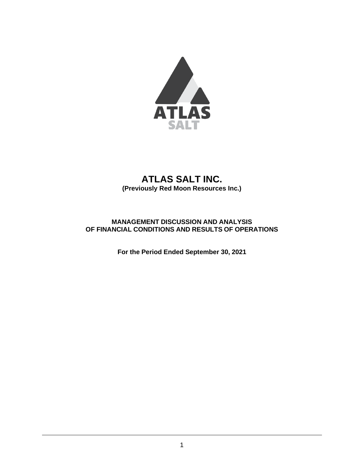

# **ATLAS SALT INC. (Previously Red Moon Resources Inc.)**

# **MANAGEMENT DISCUSSION AND ANALYSIS OF FINANCIAL CONDITIONS AND RESULTS OF OPERATIONS**

**For the Period Ended September 30, 2021**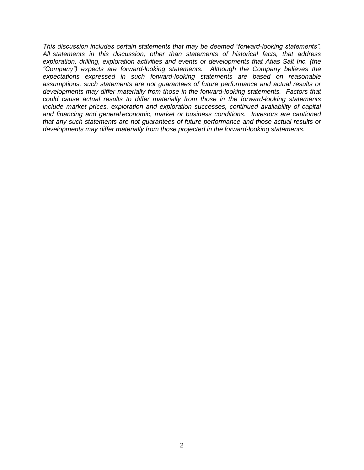*This discussion includes certain statements that may be deemed "forward-looking statements". All statements in this discussion, other than statements of historical facts, that address exploration, drilling, exploration activities and events or developments that Atlas Salt Inc. (the "Company") expects are forward-looking statements. Although the Company believes the expectations expressed in such forward-looking statements are based on reasonable assumptions, such statements are not guarantees of future performance and actual results or developments may differ materially from those in the forward-looking statements. Factors that could cause actual results to differ materially from those in the forward-looking statements include market prices, exploration and exploration successes, continued availability of capital and financing and general economic, market or business conditions. Investors are cautioned that any such statements are not guarantees of future performance and those actual results or developments may differ materially from those projected in the forward-looking statements.*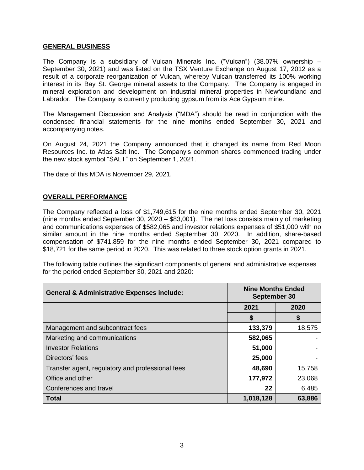#### **GENERAL BUSINESS**

The Company is a subsidiary of Vulcan Minerals Inc. ("Vulcan") (38.07% ownership – September 30, 2021) and was listed on the TSX Venture Exchange on August 17, 2012 as a result of a corporate reorganization of Vulcan, whereby Vulcan transferred its 100% working interest in its Bay St. George mineral assets to the Company. The Company is engaged in mineral exploration and development on industrial mineral properties in Newfoundland and Labrador. The Company is currently producing gypsum from its Ace Gypsum mine.

The Management Discussion and Analysis ("MDA") should be read in conjunction with the condensed financial statements for the nine months ended September 30, 2021 and accompanying notes.

On August 24, 2021 the Company announced that it changed its name from Red Moon Resources Inc. to Atlas Salt Inc. The Company's common shares commenced trading under the new stock symbol "SALT" on September 1, 2021.

The date of this MDA is November 29, 2021.

#### **OVERALL PERFORMANCE**

The Company reflected a loss of \$1,749,615 for the nine months ended September 30, 2021 (nine months ended September 30, 2020 – \$83,001). The net loss consists mainly of marketing and communications expenses of \$582,065 and investor relations expenses of \$51,000 with no similar amount in the nine months ended September 30, 2020. In addition, share-based compensation of \$741,859 for the nine months ended September 30, 2021 compared to \$18,721 for the same period in 2020. This was related to three stock option grants in 2021.

The following table outlines the significant components of general and administrative expenses for the period ended September 30, 2021 and 2020:

| <b>General &amp; Administrative Expenses include:</b> | <b>Nine Months Ended</b><br>September 30 |        |
|-------------------------------------------------------|------------------------------------------|--------|
|                                                       | 2021                                     | 2020   |
|                                                       | \$                                       | \$     |
| Management and subcontract fees                       | 133,379                                  | 18,575 |
| Marketing and communications                          | 582,065                                  |        |
| <b>Investor Relations</b>                             | 51,000                                   |        |
| Directors' fees                                       | 25,000                                   |        |
| Transfer agent, regulatory and professional fees      | 48,690                                   | 15,758 |
| Office and other                                      | 177,972                                  | 23,068 |
| Conferences and travel                                | 22                                       | 6,485  |
| <b>Total</b>                                          | 1,018,128                                | 63,886 |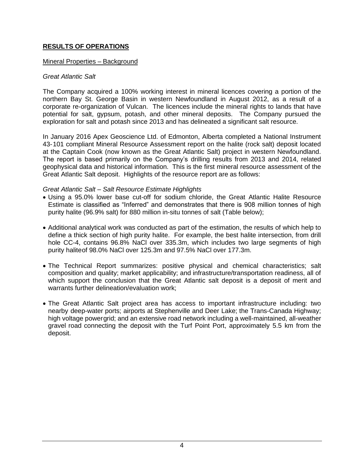# **RESULTS OF OPERATIONS**

### Mineral Properties – Background

#### *Great Atlantic Salt*

The Company acquired a 100% working interest in mineral licences covering a portion of the northern Bay St. George Basin in western Newfoundland in August 2012, as a result of a corporate re-organization of Vulcan. The licences include the mineral rights to lands that have potential for salt, gypsum, potash, and other mineral deposits. The Company pursued the exploration for salt and potash since 2013 and has delineated a significant salt resource.

In January 2016 Apex Geoscience Ltd. of Edmonton, Alberta completed a National Instrument 43-101 compliant Mineral Resource Assessment report on the halite (rock salt) deposit located at the Captain Cook (now known as the Great Atlantic Salt) project in western Newfoundland. The report is based primarily on the Company's drilling results from 2013 and 2014, related geophysical data and historical information. This is the first mineral resource assessment of the Great Atlantic Salt deposit. Highlights of the resource report are as follows:

### *Great Atlantic Salt – Salt Resource Estimate Highlights*

- Using a 95.0% lower base cut-off for sodium chloride, the Great Atlantic Halite Resource Estimate is classified as "Inferred" and demonstrates that there is 908 million tonnes of high purity halite (96.9% salt) for 880 million in-situ tonnes of salt (Table below);
- Additional analytical work was conducted as part of the estimation, the results of which help to define a thick section of high purity halite. For example, the best halite intersection, from drill hole CC-4, contains 96.8% NaCl over 335.3m, which includes two large segments of high purity haliteof 98.0% NaCl over 125.3m and 97.5% NaCl over 177.3m.
- The Technical Report summarizes: positive physical and chemical characteristics; salt composition and quality; market applicability; and infrastructure/transportation readiness, all of which support the conclusion that the Great Atlantic salt deposit is a deposit of merit and warrants further delineation/evaluation work;
- The Great Atlantic Salt project area has access to important infrastructure including: two nearby deep-water ports; airports at Stephenville and Deer Lake; the Trans-Canada Highway; high voltage powergrid; and an extensive road network including a well-maintained, all-weather gravel road connecting the deposit with the Turf Point Port, approximately 5.5 km from the deposit.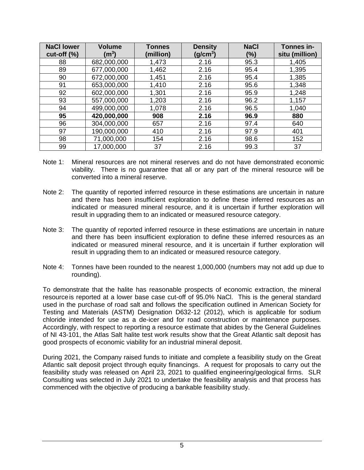| <b>NaCl lower</b><br>$cut-off (%)$ | <b>Volume</b><br>$\rm (m^3)$ | <b>Tonnes</b><br>(million) | <b>Density</b><br>(g/cm <sup>3</sup> ) | <b>NaCl</b><br>(%) | Tonnes in-<br>situ (million) |
|------------------------------------|------------------------------|----------------------------|----------------------------------------|--------------------|------------------------------|
| 88                                 | 682,000,000                  | 1,473                      | 2.16                                   | 95.3               | 1,405                        |
| 89                                 | 677,000,000                  | 1,462                      | 2.16                                   | 95.4               | 1,395                        |
| 90                                 | 672,000,000                  | 1,451                      | 2.16                                   | 95.4               | 1,385                        |
| 91                                 | 653,000,000                  | 1,410                      | 2.16                                   | 95.6               | 1,348                        |
| 92                                 | 602,000,000                  | 1,301                      | 2.16                                   | 95.9               | 1,248                        |
| 93                                 | 557,000,000                  | 1,203                      | 2.16                                   | 96.2               | 1,157                        |
| 94                                 | 499,000,000                  | 1,078                      | 2.16                                   | 96.5               | 1,040                        |
| 95                                 | 420,000,000                  | 908                        | 2.16                                   | 96.9               | 880                          |
| 96                                 | 304,000,000                  | 657                        | 2.16                                   | 97.4               | 640                          |
| 97                                 | 190,000,000                  | 410                        | 2.16                                   | 97.9               | 401                          |
| 98                                 | 71,000,000                   | 154                        | 2.16                                   | 98.6               | 152                          |
| 99                                 | 17,000,000                   | 37                         | 2.16                                   | 99.3               | 37                           |

- Note 1: Mineral resources are not mineral reserves and do not have demonstrated economic viability. There is no guarantee that all or any part of the mineral resource will be converted into a mineral reserve.
- Note 2: The quantity of reported inferred resource in these estimations are uncertain in nature and there has been insufficient exploration to define these inferred resources as an indicated or measured mineral resource, and it is uncertain if further exploration will result in upgrading them to an indicated or measured resource category.
- Note 3: The quantity of reported inferred resource in these estimations are uncertain in nature and there has been insufficient exploration to define these inferred resources as an indicated or measured mineral resource, and it is uncertain if further exploration will result in upgrading them to an indicated or measured resource category.
- Note 4: Tonnes have been rounded to the nearest 1,000,000 (numbers may not add up due to rounding).

To demonstrate that the halite has reasonable prospects of economic extraction, the mineral resourceis reported at a lower base case cut-off of 95.0% NaCl. This is the general standard used in the purchase of road salt and follows the specification outlined in American Society for Testing and Materials (ASTM) Designation D632-12 (2012), which is applicable for sodium chloride intended for use as a de-icer and for road construction or maintenance purposes. Accordingly, with respect to reporting a resource estimate that abides by the General Guidelines of NI 43-101, the Atlas Salt halite test work results show that the Great Atlantic salt deposit has good prospects of economic viability for an industrial mineral deposit.

During 2021, the Company raised funds to initiate and complete a feasibility study on the Great Atlantic salt deposit project through equity financings. A request for proposals to carry out the feasibility study was released on April 23, 2021 to qualified engineering/geological firms. SLR Consulting was selected in July 2021 to undertake the feasibility analysis and that process has commenced with the objective of producing a bankable feasibility study.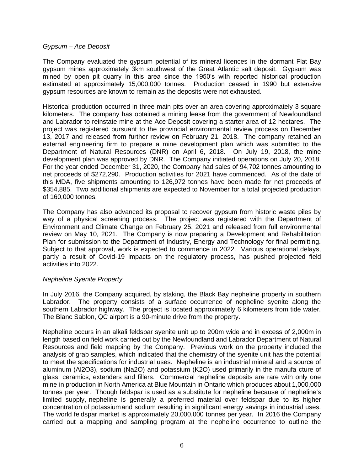### *Gypsum – Ace Deposit*

The Company evaluated the gypsum potential of its mineral licences in the dormant Flat Bay gypsum mines approximately 3km southwest of the Great Atlantic salt deposit. Gypsum was mined by open pit quarry in this area since the 1950's with reported historical production estimated at approximately 15,000,000 tonnes. Production ceased in 1990 but extensive gypsum resources are known to remain as the deposits were not exhausted.

Historical production occurred in three main pits over an area covering approximately 3 square kilometers. The company has obtained a mining lease from the government of Newfoundland and Labrador to reinstate mine at the Ace Deposit covering a starter area of 12 hectares. The project was registered pursuant to the provincial environmental review process on December 13, 2017 and released from further review on February 21, 2018. The company retained an external engineering firm to prepare a mine development plan which was submitted to the Department of Natural Resources (DNR) on April 6, 2018. On July 19, 2018, the mine development plan was approved by DNR. The Company initiated operations on July 20, 2018. For the year ended December 31, 2020, the Company had sales of 94,702 tonnes amounting to net proceeds of \$272,290. Production activities for 2021 have commenced. As of the date of this MDA, five shipments amounting to 126,972 tonnes have been made for net proceeds of \$354,885. Two additional shipments are expected to November for a total projected production of 160,000 tonnes.

The Company has also advanced its proposal to recover gypsum from historic waste piles by way of a physical screening process. The project was registered with the Department of Environment and Climate Change on February 25, 2021 and released from full environmental review on May 10, 2021. The Company is now preparing a Development and Rehabilitation Plan for submission to the Department of Industry, Energy and Technology for final permitting. Subject to that approval, work is expected to commence in 2022. Various operational delays, partly a result of Covid-19 impacts on the regulatory process, has pushed projected field activities into 2022.

## *Nepheline Syenite Property*

In July 2016, the Company acquired, by staking, the Black Bay nepheline property in southern Labrador. The property consists of a surface occurrence of nepheline syenite along the southern Labrador highway. The project is located approximately 6 kilometers from tide water. The Blanc Sablon, QC airport is a 90-minute drive from the property.

Nepheline occurs in an alkali feldspar syenite unit up to 200m wide and in excess of 2,000m in length based on field work carried out by the Newfoundland and Labrador Department of Natural Resources and field mapping by the Company. Previous work on the property included the analysis of grab samples, which indicated that the chemistry of the syenite unit has the potential to meet the specifications for industrial uses. Nepheline is an industrial mineral and a source of aluminum (Al2O3), sodium (Na2O) and potassium (K2O) used primarily in the manufa cture of glass, ceramics, extenders and fillers. Commercial nepheline deposits are rare with only one mine in production in North America at Blue Mountain in Ontario which produces about 1,000,000 tonnes per year. Though feldspar is used as a substitute for nepheline because of nepheline's limited supply, nepheline is generally a preferred material over feldspar due to its higher concentration of potassiumand sodium resulting in significant energy savings in industrial uses. The world feldspar market is approximately 20,000,000 tonnes per year. In 2016 the Company carried out a mapping and sampling program at the nepheline occurrence to outline the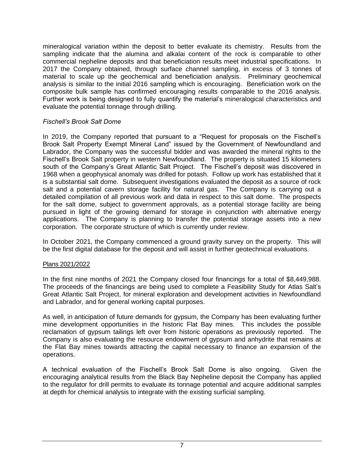mineralogical variation within the deposit to better evaluate its chemistry. Results from the sampling indicate that the alumina and alkalai content of the rock is comparable to other commercial nepheline deposits and that beneficiation results meet industrial specifications. In 2017 the Company obtained, through surface channel sampling, in excess of 3 tonnes of material to scale up the geochemical and beneficiation analysis. Preliminary geochemical analysis is similar to the initial 2016 sampling which is encouraging. Beneficiation work on the composite bulk sample has confirmed encouraging results comparable to the 2016 analysis. Further work is being designed to fully quantify the material's mineralogical characteristics and evaluate the potential tonnage through drilling.

### *Fischell's Brook Salt Dome*

In 2019, the Company reported that pursuant to a "Request for proposals on the Fischell's Brook Salt Property Exempt Mineral Land" issued by the Government of Newfoundland and Labrador, the Company was the successful bidder and was awarded the mineral rights to the Fischell's Brook Salt property in western Newfoundland. The property is situated 15 kilometers south of the Company's Great Atlantic Salt Project. The Fischell's deposit was discovered in 1968 when a geophysical anomaly was drilled for potash. Follow up work has established that it is a substantial salt dome. Subsequent investigations evaluated the deposit as a source of rock salt and a potential cavern storage facility for natural gas. The Company is carrying out a detailed compilation of all previous work and data in respect to this salt dome. The prospects for the salt dome, subject to government approvals, as a potential storage facility are being pursued in light of the growing demand for storage in conjunction with alternative energy applications. The Company is planning to transfer the potential storage assets into a new corporation. The corporate structure of which is currently under review.

In October 2021, the Company commenced a ground gravity survey on the property. This will be the first digital database for the deposit and will assist in further geotechnical evaluations.

## Plans 2021/2022

In the first nine months of 2021 the Company closed four financings for a total of \$8,449,988. The proceeds of the financings are being used to complete a Feasibility Study for Atlas Salt's Great Atlantic Salt Project, for mineral exploration and development activities in Newfoundland and Labrador, and for general working capital purposes.

As well, in anticipation of future demands for gypsum, the Company has been evaluating further mine development opportunities in the historic Flat Bay mines. This includes the possible reclamation of gypsum tailings left over from historic operations as previously reported. The Company is also evaluating the resource endowment of gypsum and anhydrite that remains at the Flat Bay mines towards attracting the capital necessary to finance an expansion of the operations.

A technical evaluation of the Fischell's Brook Salt Dome is also ongoing. Given the encouraging analytical results from the Black Bay Nepheline deposit the Company has applied to the regulator for drill permits to evaluate its tonnage potential and acquire additional samples at depth for chemical analysis to integrate with the existing surficial sampling.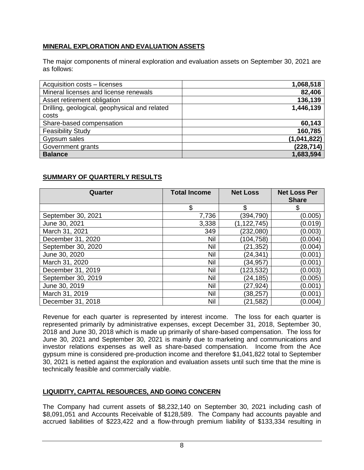# **MINERAL EXPLORATION AND EVALUATION ASSETS**

The major components of mineral exploration and evaluation assets on September 30, 2021 are as follows:

| Acquisition costs - licenses                  | 1,068,518   |
|-----------------------------------------------|-------------|
| Mineral licenses and license renewals         | 82,406      |
| Asset retirement obligation                   | 136,139     |
| Drilling, geological, geophysical and related | 1,446,139   |
| costs                                         |             |
| Share-based compensation                      | 60,143      |
| <b>Feasibility Study</b>                      | 160,785     |
| Gypsum sales                                  | (1,041,822) |
| Government grants                             | (228, 714)  |
| <b>Balance</b>                                | 1,683,594   |

# **SUMMARY OF QUARTERLY RESULTS**

| Quarter            | <b>Total Income</b> | <b>Net Loss</b> | <b>Net Loss Per</b> |
|--------------------|---------------------|-----------------|---------------------|
|                    |                     |                 | <b>Share</b>        |
|                    | \$                  | \$              | \$                  |
| September 30, 2021 | 7,736               | (394, 790)      | (0.005)             |
| June 30, 2021      | 3,338               | (1, 122, 745)   | (0.019)             |
| March 31, 2021     | 349                 | (232,080)       | (0.003)             |
| December 31, 2020  | Nil                 | (104, 758)      | (0.004)             |
| September 30, 2020 | Nil                 | (21, 352)       | (0.004)             |
| June 30, 2020      | <b>Nil</b>          | (24, 341)       | (0.001)             |
| March 31, 2020     | Nil                 | (34,957)        | (0.001)             |
| December 31, 2019  | Nil                 | (123, 532)      | (0.003)             |
| September 30, 2019 | Nil                 | (24,185)        | (0.005)             |
| June 30, 2019      | <b>Nil</b>          | (27,924)        | (0.001)             |
| March 31, 2019     | Nil                 | (38,257)        | (0.001)             |
| December 31, 2018  | Nil                 | (21, 582)       | (0.004)             |

Revenue for each quarter is represented by interest income. The loss for each quarter is represented primarily by administrative expenses, except December 31, 2018, September 30, 2018 and June 30, 2018 which is made up primarily of share-based compensation. The loss for June 30, 2021 and September 30, 2021 is mainly due to marketing and communications and investor relations expenses as well as share-based compensation. Income from the Ace gypsum mine is considered pre-production income and therefore \$1,041,822 total to September 30, 2021 is netted against the exploration and evaluation assets until such time that the mine is technically feasible and commercially viable.

## **LIQUIDITY, CAPITAL RESOURCES, AND GOING CONCERN**

The Company had current assets of \$8,232,140 on September 30, 2021 including cash of \$8,091,051 and Accounts Receivable of \$128,589. The Company had accounts payable and accrued liabilities of \$223,422 and a flow-through premium liability of \$133,334 resulting in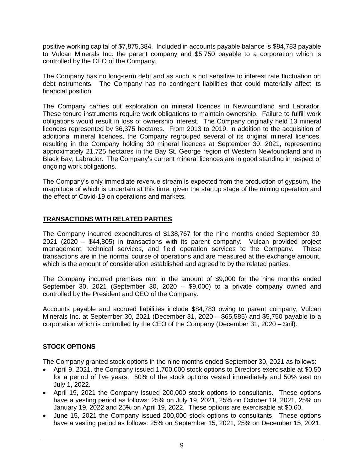positive working capital of \$7,875,384. Included in accounts payable balance is \$84,783 payable to Vulcan Minerals Inc. the parent company and \$5,750 payable to a corporation which is controlled by the CEO of the Company.

The Company has no long-term debt and as such is not sensitive to interest rate fluctuation on debt instruments. The Company has no contingent liabilities that could materially affect its financial position.

The Company carries out exploration on mineral licences in Newfoundland and Labrador. These tenure instruments require work obligations to maintain ownership. Failure to fulfill work obligations would result in loss of ownership interest. The Company originally held 13 mineral licences represented by 36,375 hectares. From 2013 to 2019, in addition to the acquisition of additional mineral licences, the Company regrouped several of its original mineral licences, resulting in the Company holding 30 mineral licences at September 30, 2021, representing approximately 21,725 hectares in the Bay St. George region of Western Newfoundland and in Black Bay, Labrador. The Company's current mineral licences are in good standing in respect of ongoing work obligations.

The Company's only immediate revenue stream is expected from the production of gypsum, the magnitude of which is uncertain at this time, given the startup stage of the mining operation and the effect of Covid-19 on operations and markets.

## **TRANSACTIONS WITH RELATED PARTIES**

The Company incurred expenditures of \$138,767 for the nine months ended September 30, 2021 (2020 – \$44,805) in transactions with its parent company. Vulcan provided project management, technical services, and field operation services to the Company. These transactions are in the normal course of operations and are measured at the exchange amount, which is the amount of consideration established and agreed to by the related parties.

The Company incurred premises rent in the amount of \$9,000 for the nine months ended September 30, 2021 (September 30, 2020 – \$9,000) to a private company owned and controlled by the President and CEO of the Company.

Accounts payable and accrued liabilities include \$84,783 owing to parent company, Vulcan Minerals Inc. at September 30, 2021 (December 31, 2020 – \$65,585) and \$5,750 payable to a corporation which is controlled by the CEO of the Company (December 31, 2020 – \$nil).

# **STOCK OPTIONS**

The Company granted stock options in the nine months ended September 30, 2021 as follows:

- April 9, 2021, the Company issued 1,700,000 stock options to Directors exercisable at \$0.50 for a period of five years. 50% of the stock options vested immediately and 50% vest on July 1, 2022.
- April 19, 2021 the Company issued 200,000 stock options to consultants. These options have a vesting period as follows: 25% on July 19, 2021, 25% on October 19, 2021, 25% on January 19, 2022 and 25% on April 19, 2022. These options are exercisable at \$0.60.
- June 15, 2021 the Company issued 200,000 stock options to consultants. These options have a vesting period as follows: 25% on September 15, 2021, 25% on December 15, 2021,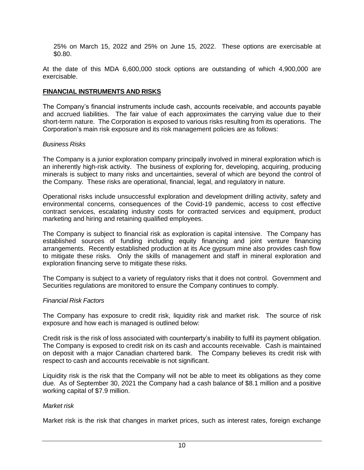25% on March 15, 2022 and 25% on June 15, 2022. These options are exercisable at \$0.80.

At the date of this MDA 6,600,000 stock options are outstanding of which 4,900,000 are exercisable.

### **FINANCIAL INSTRUMENTS AND RISKS**

The Company's financial instruments include cash, accounts receivable, and accounts payable and accrued liabilities. The fair value of each approximates the carrying value due to their short-term nature. The Corporation is exposed to various risks resulting from its operations. The Corporation's main risk exposure and its risk management policies are as follows:

### *Business Risks*

The Company is a junior exploration company principally involved in mineral exploration which is an inherently high-risk activity. The business of exploring for, developing, acquiring, producing minerals is subject to many risks and uncertainties, several of which are beyond the control of the Company. These risks are operational, financial, legal, and regulatory in nature.

Operational risks include unsuccessful exploration and development drilling activity, safety and environmental concerns, consequences of the Covid-19 pandemic, access to cost effective contract services, escalating industry costs for contracted services and equipment, product marketing and hiring and retaining qualified employees.

The Company is subject to financial risk as exploration is capital intensive. The Company has established sources of funding including equity financing and joint venture financing arrangements. Recently established production at its Ace gypsum mine also provides cash flow to mitigate these risks. Only the skills of management and staff in mineral exploration and exploration financing serve to mitigate these risks.

The Company is subject to a variety of regulatory risks that it does not control. Government and Securities regulations are monitored to ensure the Company continues to comply.

## *Financial Risk Factors*

The Company has exposure to credit risk, liquidity risk and market risk. The source of risk exposure and how each is managed is outlined below:

Credit risk is the risk of loss associated with counterparty's inability to fulfil its payment obligation. The Company is exposed to credit risk on its cash and accounts receivable. Cash is maintained on deposit with a major Canadian chartered bank. The Company believes its credit risk with respect to cash and accounts receivable is not significant.

Liquidity risk is the risk that the Company will not be able to meet its obligations as they come due. As of September 30, 2021 the Company had a cash balance of \$8.1 million and a positive working capital of \$7.9 million.

#### *Market risk*

Market risk is the risk that changes in market prices, such as interest rates, foreign exchange